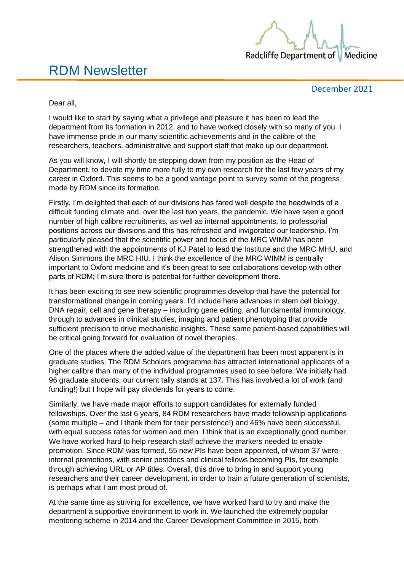

# RDM Newsletter

December 2021

Dear all,

I would like to start by saying what a privilege and pleasure it has been to lead the department from its formation in 2012, and to have worked closely with so many of you. I have immense pride in our many scientific achievements and in the calibre of the researchers, teachers, administrative and support staff that make up our department.

As you will know, I will shortly be stepping down from my position as the Head of Department, to devote my time more fully to my own research for the last few years of my career in Oxford. This seems to be a good vantage point to survey some of the progress made by RDM since its formation.

Firstly, I'm delighted that each of our divisions has fared well despite the headwinds of a difficult funding climate and, over the last two years, the pandemic. We have seen a good number of high calibre recruitments, as well as internal appointments, to professorial positions across our divisions and this has refreshed and invigorated our leadership. I'm particularly pleased that the scientific power and focus of the MRC WIMM has been strengthened with the appointments of KJ Patel to lead the Institute and the MRC MHU, and Alison Simmons the MRC HIU. I think the excellence of the MRC WIMM is centrally important to Oxford medicine and it's been great to see collaborations develop with other parts of RDM; I'm sure there is potential for further development there.

It has been exciting to see new scientific programmes develop that have the potential for transformational change in coming years. I'd include here advances in stem cell biology, DNA repair, cell and gene therapy – including gene editing, and fundamental immunology, through to advances in clinical studies, imaging and patient phenotyping that provide sufficient precision to drive mechanistic insights. These same patient-based capabilities will be critical going forward for evaluation of novel therapies.

One of the places where the added value of the department has been most apparent is in graduate studies. The RDM Scholars programme has attracted international applicants of a higher calibre than many of the individual programmes used to see before. We initially had 96 graduate students, our current tally stands at 137. This has involved a lot of work (and funding!) but I hope will pay dividends for years to come.

Similarly, we have made major efforts to support candidates for externally funded fellowships. Over the last 6 years, 84 RDM researchers have made fellowship applications (some multiple – and I thank them for their persistence!) and 46% have been successful, with equal success rates for women and men. I think that is an exceptionally good number. We have worked hard to help research staff achieve the markers needed to enable promotion. Since RDM was formed, 55 new PIs have been appointed, of whom 37 were internal promotions, with senior postdocs and clinical fellows becoming PIs, for example through achieving URL or AP titles. Overall, this drive to bring in and support young researchers and their career development, in order to train a future generation of scientists, is perhaps what I am most proud of.

At the same time as striving for excellence, we have worked hard to try and make the department a supportive environment to work in. We launched the extremely popular mentoring scheme in 2014 and the Career Development Committee in 2015, both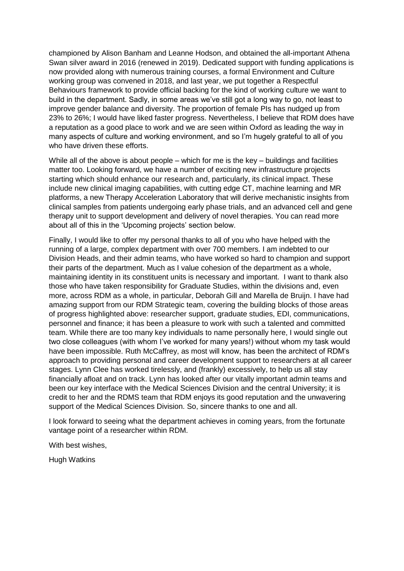championed by Alison Banham and Leanne Hodson, and obtained the all-important Athena Swan silver award in 2016 (renewed in 2019). Dedicated support with funding applications is now provided along with numerous training courses, a formal Environment and Culture working group was convened in 2018, and last year, we put together a Respectful Behaviours framework to provide official backing for the kind of working culture we want to build in the department. Sadly, in some areas we've still got a long way to go, not least to improve gender balance and diversity. The proportion of female PIs has nudged up from 23% to 26%; I would have liked faster progress. Nevertheless, I believe that RDM does have a reputation as a good place to work and we are seen within Oxford as leading the way in many aspects of culture and working environment, and so I'm hugely grateful to all of you who have driven these efforts.

While all of the above is about people – which for me is the key – buildings and facilities matter too. Looking forward, we have a number of exciting new infrastructure projects starting which should enhance our research and, particularly, its clinical impact. These include new clinical imaging capabilities, with cutting edge CT, machine learning and MR platforms, a new Therapy Acceleration Laboratory that will derive mechanistic insights from clinical samples from patients undergoing early phase trials, and an advanced cell and gene therapy unit to support development and delivery of novel therapies. You can read more about all of this in the 'Upcoming projects' section below.

Finally, I would like to offer my personal thanks to all of you who have helped with the running of a large, complex department with over 700 members. I am indebted to our Division Heads, and their admin teams, who have worked so hard to champion and support their parts of the department. Much as I value cohesion of the department as a whole, maintaining identity in its constituent units is necessary and important. I want to thank also those who have taken responsibility for Graduate Studies, within the divisions and, even more, across RDM as a whole, in particular, Deborah Gill and Marella de Bruijn. I have had amazing support from our RDM Strategic team, covering the building blocks of those areas of progress highlighted above: researcher support, graduate studies, EDI, communications, personnel and finance; it has been a pleasure to work with such a talented and committed team. While there are too many key individuals to name personally here, I would single out two close colleagues (with whom I've worked for many years!) without whom my task would have been impossible. Ruth McCaffrey, as most will know, has been the architect of RDM's approach to providing personal and career development support to researchers at all career stages. Lynn Clee has worked tirelessly, and (frankly) excessively, to help us all stay financially afloat and on track. Lynn has looked after our vitally important admin teams and been our key interface with the Medical Sciences Division and the central University; it is credit to her and the RDMS team that RDM enjoys its good reputation and the unwavering support of the Medical Sciences Division. So, sincere thanks to one and all.

I look forward to seeing what the department achieves in coming years, from the fortunate vantage point of a researcher within RDM.

With best wishes,

Hugh Watkins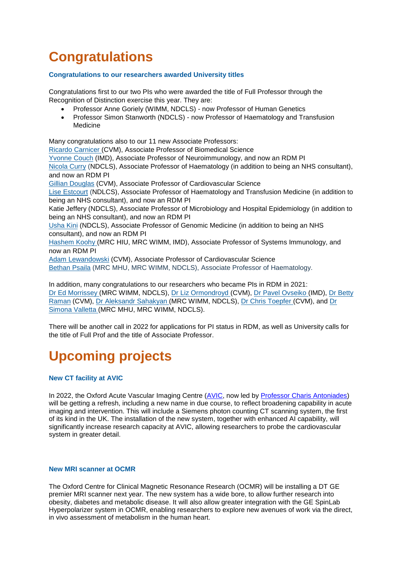# **Congratulations**

## **Congratulations to our researchers awarded University titles**

Congratulations first to our two PIs who were awarded the title of Full Professor through the Recognition of Distinction exercise this year. They are:

- Professor Anne Goriely (WIMM, NDCLS) now Professor of Human Genetics
- Professor Simon Stanworth (NDCLS) now Professor of Haematology and Transfusion Medicine

Many congratulations also to our 11 new Associate Professors: [Ricardo Carnicer](https://www.rdm.ox.ac.uk/people/rcardo-carnicer) (CVM), Associate Professor of Biomedical Science [Yvonne Couch](https://www.rdm.ox.ac.uk/people/yvonne-couch) (IMD), Associate Professor of Neuroimmunology, and now an RDM PI [Nicola Curry](https://www.rdm.ox.ac.uk/people/nicola-curry) (NDCLS), Associate Professor of Haematology (in addition to being an NHS consultant), and now an RDM PI [Gillian Douglas](https://www.rdm.ox.ac.uk/people/gillian-douglas) (CVM), Associate Professor of Cardiovascular Science [Lise Estcourt](https://www.rdm.ox.ac.uk/people/lise-estcourt) (NDLCS), Associate Professor of Haematology and Transfusion Medicine (in addition to being an NHS consultant), and now an RDM PI Katie Jeffery (NDCLS), Associate Professor of Microbiology and Hospital Epidemiology (in addition to being an NHS consultant), and now an RDM PI [Usha Kini](mailto:https://www.rdm.ox.ac.uk/people/usha-kini) (NDCLS), Associate Professor of Genomic Medicine (in addition to being an NHS consultant), and now an RDM PI [Hashem Koohy](https://www.rdm.ox.ac.uk/people/hashem-koohy) (MRC HIU, MRC WIMM, IMD), Associate Professor of Systems Immunology, and now an RDM PI [Adam Lewandowski](https://www.rdm.ox.ac.uk/people/adam-lewandowski) (CVM), Associate Professor of Cardiovascular Science [Bethan Psaila](https://www.rdm.ox.ac.uk/people/bethan-psaila) (MRC MHU, MRC WIMM, NDCLS), Associate Professor of Haematology. In addition, many congratulations to our researchers who became PIs in RDM in 2021:

[Dr Ed Morrissey](https://www.rdm.ox.ac.uk/people/edward-morrissey) (MRC WIMM, NDCLS), [Dr Liz Ormondroyd](https://www.rdm.ox.ac.uk/people/elizabeth-ormondroyd) (CVM), [Dr Pavel Ovseiko](https://www.rdm.ox.ac.uk/people/pavel-ovseiko) (IMD), [Dr Betty](https://www.rdm.ox.ac.uk/people/betty-raman)  [Raman](https://www.rdm.ox.ac.uk/people/betty-raman) (CVM), [Dr Aleksandr](https://www.rdm.ox.ac.uk/people/aleksandr-sahakyan) Sahakyan (MRC WIMM, NDCLS), [Dr Chris Toepfer](https://www.rdm.ox.ac.uk/people/christopher-toepfer) (CVM), and [Dr](https://www.rdm.ox.ac.uk/people/simona-valletta)  [Simona Valletta](https://www.rdm.ox.ac.uk/people/simona-valletta) (MRC MHU, MRC WIMM, NDCLS).

There will be another call in 2022 for applications for PI status in RDM, as well as University calls for the title of Full Prof and the title of Associate Professor.

# **Upcoming projects**

## **New CT facility at AVIC**

In 2022, the Oxford Acute Vascular Imaging Centre [\(AVIC,](https://www.rdm.ox.ac.uk/about/our-clinical-facilities-and-mrc-units/acute-vascular-imaging-centre) now led by [Professor Charis Antoniades\)](https://www.rdm.ox.ac.uk/people/charalambos-antoniades) will be getting a refresh, including a new name in due course, to reflect broadening capability in acute imaging and intervention. This will include a Siemens photon counting CT scanning system, the first of its kind in the UK. The installation of the new system, together with enhanced AI capability, will significantly increase research capacity at AVIC, allowing researchers to probe the cardiovascular system in greater detail.

### **New MRI scanner at OCMR**

The Oxford Centre for Clinical Magnetic Resonance Research (OCMR) will be installing a DT GE premier MRI scanner next year. The new system has a wide bore, to allow further research into obesity, diabetes and metabolic disease. It will also allow greater integration with the GE SpinLab Hyperpolarizer system in OCMR, enabling researchers to explore new avenues of work via the direct, in vivo assessment of metabolism in the human heart.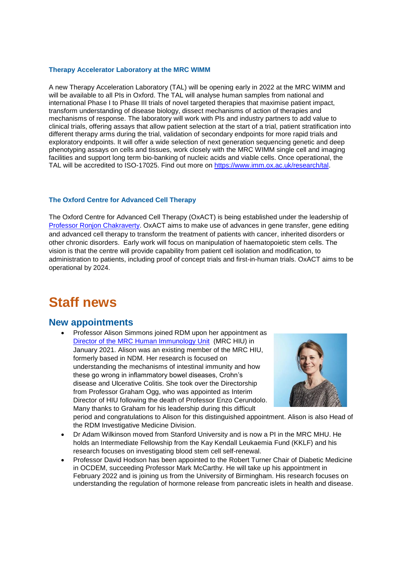### **Therapy Accelerator Laboratory at the MRC WIMM**

A new Therapy Acceleration Laboratory (TAL) will be opening early in 2022 at the MRC WIMM and will be available to all PIs in Oxford. The TAL will analyse human samples from national and international Phase I to Phase III trials of novel targeted therapies that maximise patient impact, transform understanding of disease biology, dissect mechanisms of action of therapies and mechanisms of response. The laboratory will work with PIs and industry partners to add value to clinical trials, offering assays that allow patient selection at the start of a trial, patient stratification into different therapy arms during the trial, validation of secondary endpoints for more rapid trials and exploratory endpoints. It will offer a wide selection of next generation sequencing genetic and deep phenotyping assays on cells and tissues, work closely with the MRC WIMM single cell and imaging facilities and support long term bio-banking of nucleic acids and viable cells. Once operational, the TAL will be accredited to ISO-17025. Find out more on [https://www.imm.ox.ac.uk/research/tal.](https://www.imm.ox.ac.uk/research/tal)

## **The Oxford Centre for Advanced Cell Therapy**

The Oxford Centre for Advanced Cell Therapy (OxACT) is being established under the leadership of [Professor Ronjon Chakraverty.](https://www.rdm.ox.ac.uk/people/ronjon-chakraverty) OxACT aims to make use of advances in gene transfer, gene editing and advanced cell therapy to transform the treatment of patients with cancer, inherited disorders or other chronic disorders. Early work will focus on manipulation of haematopoietic stem cells. The vision is that the centre will provide capability from patient cell isolation and modification, to administration to patients, including proof of concept trials and first-in-human trials. OxACT aims to be operational by 2024.

## **Staff news**

## **New appointments**

 Professor Alison Simmons joined RDM upon her appointment as [Director of the MRC Human Immunology Unit](https://www.rdm.ox.ac.uk/news/mrc-hiu-appoints-new-director) (MRC HIU) in January 2021. Alison was an existing member of the MRC HIU, formerly based in NDM. Her research is focused on understanding the mechanisms of intestinal immunity and how these go wrong in inflammatory bowel diseases, Crohn's disease and Ulcerative Colitis. She took over the Directorship from Professor Graham Ogg, who was appointed as Interim Director of HIU following the death of Professor Enzo Cerundolo. Many thanks to Graham for his leadership during this difficult



period and congratulations to Alison for this distinguished appointment. Alison is also Head of the RDM Investigative Medicine Division.

- Dr Adam Wilkinson moved from Stanford University and is now a PI in the MRC MHU. He holds an Intermediate Fellowship from the Kay Kendall Leukaemia Fund (KKLF) and his research focuses on investigating blood stem cell self-renewal.
- Professor David Hodson has been appointed to the Robert Turner Chair of Diabetic Medicine in OCDEM, succeeding Professor Mark McCarthy. He will take up his appointment in February 2022 and is joining us from the University of Birmingham. His research focuses on understanding the regulation of hormone release from pancreatic islets in health and disease.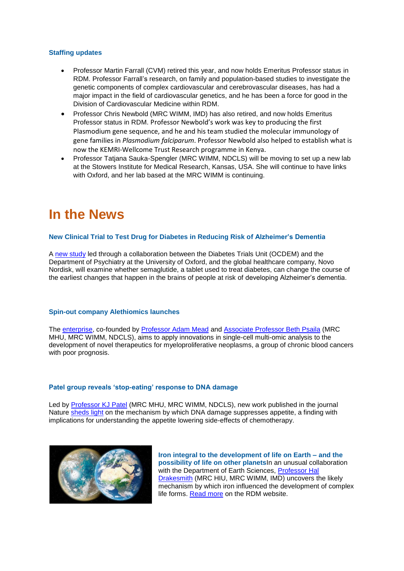### **Staffing updates**

- Professor Martin Farrall (CVM) retired this year, and now holds Emeritus Professor status in RDM. Professor Farrall's research, on family and population-based studies to investigate the genetic components of complex cardiovascular and cerebrovascular diseases, has had a major impact in the field of cardiovascular genetics, and he has been a force for good in the Division of Cardiovascular Medicine within RDM.
- Professor Chris Newbold (MRC WIMM, IMD) has also retired, and now holds Emeritus Professor status in RDM. Professor Newbold's work was key to producing the first Plasmodium gene sequence, and he and his team studied the molecular immunology of gene families in *Plasmodium falciparum*. Professor Newbold also helped to establish what is now the KEMRI-Wellcome Trust Research programme in Kenya.
- Professor Tatjana Sauka-Spengler (MRC WIMM, NDCLS) will be moving to set up a new lab at the Stowers Institute for Medical Research, Kansas, USA. She will continue to have links with Oxford, and her lab based at the MRC WIMM is continuing.

# **In the News**

## **New Clinical Trial to Test Drug for Diabetes in Reducing Risk of Alzheimer's Dementia**

A [new study](https://www.rdm.ox.ac.uk/news/new-clinical-trial-to-test-drug-for-diabetes-in-reducing-risk-of-alzheimer2019s-dementia) led through a collaboration between the Diabetes Trials Unit (OCDEM) and the Department of Psychiatry at the University of Oxford, and the global healthcare company, Novo Nordisk, will examine whether semaglutide, a tablet used to treat diabetes, can change the course of the earliest changes that happen in the brains of people at risk of developing Alzheimer's dementia.

### **[Spin-out company Alethiomics launches](https://www.imm.ox.ac.uk/news/spin-out-company-alethiomics-launches)**

The [enterprise,](https://www.rdm.ox.ac.uk/news/spin-out-company-alethiomics-launches) co-founded by [Professor Adam Mead](https://www.rdm.ox.ac.uk/people/adam-mead) and [Associate Professor Beth Psaila](https://www.rdm.ox.ac.uk/people/bethan-psaila) (MRC MHU, MRC WIMM, NDCLS), aims to apply innovations in single-cell multi-omic analysis to the development of novel therapeutics for myeloproliferative neoplasms, a group of chronic blood cancers with poor prognosis.

### **[Patel group reveals 'stop-eating' response to DNA damage](https://www.rdm.ox.ac.uk/news/study-reveals-stop-eating-response-to-dna-damage)**

Led by [Professor KJ Patel](https://www.rdm.ox.ac.uk/people/kj-patel) (MRC MHU, MRC WIMM, NDCLS), new work published in the journal Nature [sheds light](https://www.rdm.ox.ac.uk/news/study-reveals-stop-eating-response-to-dna-damage) on the mechanism by which DNA damage suppresses appetite, a finding with implications for understanding the appetite lowering side-effects of chemotherapy.



**Iron integral to the development of life on Earth – and the possibility of life on other planets**In an unusual collaboration with the Department of Earth Sciences, Professor Hal [Drakesmith](https://www.rdm.ox.ac.uk/people/alexander-drakesmith) (MRC HIU, MRC WIMM, IMD) uncovers the likely mechanism by which iron influenced the development of complex life forms. [Read more](https://www.rdm.ox.ac.uk/news/iron-integral-to-the-development-of-life-on-earth-2013-and-the-possibility-of-life-on-other-planets) on the RDM website.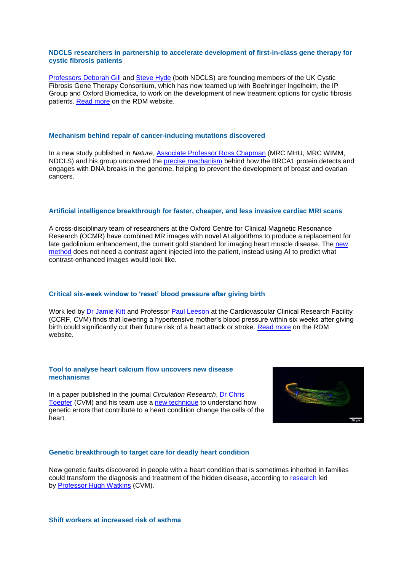### **NDCLS researchers in partnership to accelerate development of first-in-class gene therapy for cystic fibrosis patients**

Professors [Deborah Gill](https://www.rdm.ox.ac.uk/people/deborah-gill) and [Steve Hyde](https://www.rdm.ox.ac.uk/people/stephen-hyde) (both NDCLS) are founding members of the UK Cystic Fibrosis Gene Therapy Consortium, which has now teamed up with Boehringer Ingelheim, the IP Group and Oxford Biomedica, to work on the development of new treatment options for cystic fibrosis patients. [Read more](https://www.rdm.ox.ac.uk/news/rdm-researchers-part-of-partnership-to-accelerate-development-of-first-in-class-gene-therapy-for-cystic-fibrosis-patients) on the RDM website.

#### **[Mechanism behind repair of cancer-inducing mutations discovered](https://www.rdm.ox.ac.uk/news/mechanism-behind-repair-of-cancer-inducing-mutations-discovered)**

In a new study published in *Nature*, [Associate Professor](https://www.rdm.ox.ac.uk/people/ross-chapman) Ross Chapman (MRC MHU, MRC WIMM, NDCLS) and his group uncovered the **precise mechanism** behind how the BRCA1 protein detects and engages with DNA breaks in the genome, helping to prevent the development of breast and ovarian cancers.

#### **Artificial intelligence breakthrough for faster, cheaper, and less invasive cardiac MRI scans**

A cross-disciplinary team of researchers at the Oxford Centre for Clinical Magnetic Resonance Research (OCMR) have combined MR images with novel AI algorithms to produce a replacement for late gadolinium enhancement, the current gold standard for imaging heart muscle disease. The new [method](https://www.rdm.ox.ac.uk/news/artificial-intelligence-breakthrough-for-faster-cheaper-and-less-invasive-cardiac-mri-scans) does not need a contrast agent injected into the patient, instead using AI to predict what contrast-enhanced images would look like.

## **Critical six-week window to 'reset' blood pressure after giving birth**

Work led by [Dr Jamie Kitt](https://www.rdm.ox.ac.uk/people/jamie-kitt) and Professor [Paul Leeson](https://www.rdm.ox.ac.uk/people/paul-leeson) at the Cardiovascular Clinical Research Facility (CCRF, CVM) finds that lowering a hypertensive mother's blood pressure within six weeks after giving birth could significantly cut their future risk of a heart attack or stroke. [Read more](https://www.rdm.ox.ac.uk/news/critical-six-week-window-to-2018reset2019-blood-pressure-after-giving-birth) on the RDM website.

#### **Tool to analyse heart calcium flow uncovers new disease mechanisms**

In a paper published in the journal *Circulation Research*, [Dr Chris](https://www.rdm.ox.ac.uk/people/christopher-toepfer)  [Toepfer](https://www.rdm.ox.ac.uk/people/christopher-toepfer) (CVM) and his team use a [new technique](https://www.rdm.ox.ac.uk/news/tool-to-analyse-heart-calcium-flow-uncovers-new-disease-mechanisms) to understand how genetic errors that contribute to a heart condition change the cells of the heart.



#### **Genetic breakthrough to target care for deadly heart condition**

New genetic faults discovered in people with a heart condition that is sometimes inherited in families could transform the diagnosis and treatment of the hidden disease, according to [research](https://www.rdm.ox.ac.uk/news/genetic-breakthrough-to-target-care-for-deadly-heart-condition) led by [Professor Hugh Watkins](https://www.rdm.ox.ac.uk/people/hugh-watkins-1) (CVM).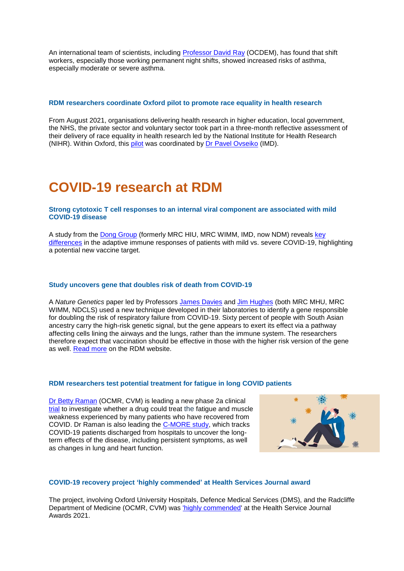An international team of scientists, including [Professor David Ray](https://www.rdm.ox.ac.uk/people/david-ray) (OCDEM), has found that shift workers, especially those working permanent night shifts, showed increased risks of asthma, especially moderate or severe asthma.

#### **[RDM researchers coordinate Oxford pilot to promote race equality in health research](https://www.rdm.ox.ac.uk/news/rdm-researchers-coordinating-pilot-to-promote-race-equality-in-health-research)**

From August 2021, organisations delivering health research in higher education, local government, the NHS, the private sector and voluntary sector took part in a three-month reflective assessment of their delivery of race equality in health research led by the National Institute for Health Research (NIHR). Within Oxford, this [pilot](https://www.rdm.ox.ac.uk/news/rdm-researchers-coordinating-pilot-to-promote-race-equality-in-health-research) was coordinated by [Dr Pavel Ovseiko](https://www.rdm.ox.ac.uk/people/pavel-ovseiko) (IMD).

## **COVID-19 research at RDM**

#### **[Strong cytotoxic T cell responses to an internal viral component are associated with mild](https://www.rdm.ox.ac.uk/news/strong-cytotoxic-t-cell-responses-to-an-internal-viral-component-are-associated-with-mild-covid-19-disease)  [COVID-19 disease](https://www.rdm.ox.ac.uk/news/strong-cytotoxic-t-cell-responses-to-an-internal-viral-component-are-associated-with-mild-covid-19-disease)**

A study from the [Dong Group](https://www.rdm.ox.ac.uk/about/our-divisions/investigative-medicine-division/investigative-medicine-division-research/human-anti-viral-cancer-t-cell-group) (formerly MRC HIU, MRC WIMM, IMD, now NDM) reveals [key](https://www.rdm.ox.ac.uk/about/our-divisions/investigative-medicine-division/investigative-medicine-division-research/human-anti-viral-cancer-t-cell-group)  [differences](https://www.rdm.ox.ac.uk/about/our-divisions/investigative-medicine-division/investigative-medicine-division-research/human-anti-viral-cancer-t-cell-group) in the adaptive immune responses of patients with mild vs. severe COVID-19, highlighting a potential new vaccine target.

#### **Study uncovers gene that doubles risk of death from COVID-19**

A *Nature Genetics* paper led by Professors [James Davies](https://www.rdm.ox.ac.uk/people/james-davies) and [Jim Hughes](https://www.rdm.ox.ac.uk/people/jim-hughes) (both MRC MHU, MRC WIMM, NDCLS) used a new technique developed in their laboratories to identify a gene responsible for doubling the risk of respiratory failure from COVID-19. Sixty percent of people with South Asian ancestry carry the high-risk genetic signal, but the gene appears to exert its effect via a pathway affecting cells lining the airways and the lungs, rather than the immune system. The researchers therefore expect that vaccination should be effective in those with the higher risk version of the gene as well. [Read more](https://www.rdm.ox.ac.uk/news/study-uncover-gene-that-doubles-risk-of-death-from-covid-19) on the RDM website.

#### **[RDM researchers test potential treatment for fatigue in long COVID patients](https://www.rdm.ox.ac.uk/news/rdm-researchers-test-potential-treatment-for-fatigue-in-long-covid-patients)**

[Dr Betty Raman](https://www.rdm.ox.ac.uk/people/betty-raman) (OCMR, CVM) is leading a new phase 2a clinical [trial](https://www.rdm.ox.ac.uk/news/rdm-researchers-test-potential-treatment-for-fatigue-in-long-covid-patients) to investigate whether a drug could treat the fatigue and muscle weakness experienced by many patients who have recovered from COVID. Dr Raman is also leading the [C-MORE study,](https://www.rdm.ox.ac.uk/@@search?tab=newsitem&SearchableText=C-MORE) which tracks COVID-19 patients discharged from hospitals to uncover the longterm effects of the disease, including persistent symptoms, as well as changes in lung and heart function.



#### **COVID-19 recovery project 'highly commended' at Health Services Journal award**

The project, involving Oxford University Hospitals, Defence Medical Services (DMS), and the Radcliffe Department of Medicine (OCMR, CVM) was ['highly commended'](https://www.rdm.ox.ac.uk/news/covid19-recovery-project-nominated-for-hsj-award) at the Health Service Journal Awards 2021.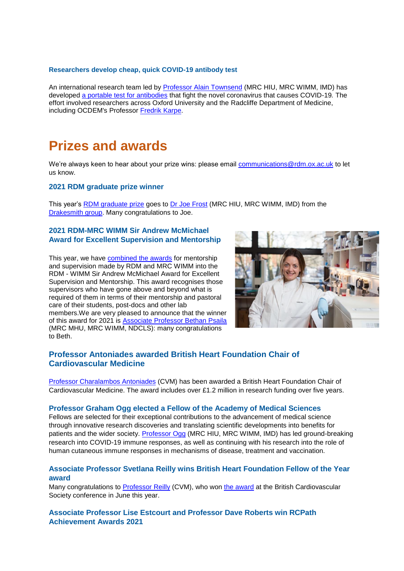## **Researchers develop cheap, quick COVID-19 antibody test**

An international research team led by [Professor Alain Townsend](https://www.rdm.ox.ac.uk/people/alain-townsend) (MRC HIU, MRC WIMM, IMD) has developed [a portable test for antibodies](https://www.rdm.ox.ac.uk/news/mrc-wimm-researchers-release-cheap-quick-covid-19-antibody-test) that fight the novel coronavirus that causes COVID-19*.* The effort involved researchers across Oxford University and the Radcliffe Department of Medicine, including OCDEM's Professor [Fredrik Karpe.](https://www.rdm.ox.ac.uk/people/fredrik-karpe)

## **Prizes and awards**

We're always keen to hear about your prize wins: please email [communications@rdm.ox.ac.uk](mailto:communications@rdm.ox.ac.uk) to let us know.

### **2021 RDM graduate prize winner**

This year's [RDM graduate prize](https://www.rdm.ox.ac.uk/news/joe-frost-wins-2021-rdm-graduate-prize) goes to [Dr Joe Frost](https://www.rdm.ox.ac.uk/people/joe-frost) (MRC HIU, MRC WIMM, IMD) from the [Drakesmith group.](https://www.rdm.ox.ac.uk/about/our-divisions/investigative-medicine-division/investigative-medicine-division-research/iron-and-immunity) Many congratulations to Joe.

## **2021 RDM-MRC WIMM Sir Andrew McMichael Award for Excellent Supervision and Mentorship**

This year, we have [combined the awards](https://www.rdm.ox.ac.uk/news/dr-beth-psaila-wins-rdm-wimm-sir-andrew-mcmichael-award-for-excellent-supervision-and-mentorship) for mentorship and supervision made by RDM and MRC WIMM into the RDM - WIMM Sir Andrew McMichael Award for Excellent Supervision and Mentorship. This award recognises those supervisors who have gone above and beyond what is required of them in terms of their mentorship and pastoral care of their students, post-docs and other lab members.We are very pleased to announce that the winner of this award for 2021 is [Associate Professor Bethan Psaila](https://www.rdm.ox.ac.uk/people/bethan-psaila) (MRC MHU, MRC WIMM, NDCLS): many congratulations to Beth.



## **Professor Antoniades awarded British Heart Foundation Chair of Cardiovascular Medicine**

[Professor Charalambos Antoniades](https://www.rdm.ox.ac.uk/people/charalambos-antoniades) (CVM) has been awarded a British Heart Foundation Chair of Cardiovascular Medicine. The award includes over £1.2 million in research funding over five years.

### **Professor Graham Ogg elected a Fellow of the Academy of Medical Sciences**

Fellows are selected for their exceptional contributions to the advancement of medical science through innovative research discoveries and translating scientific developments into benefits for patients and the wider society. [Professor Ogg](https://www.rdm.ox.ac.uk/people/graham-ogg) (MRC HIU, MRC WIMM, IMD) has led ground-breaking research into COVID-19 immune responses, as well as continuing with his research into the role of human [cutaneous immune responses](https://www.rdm.ox.ac.uk/promising-therapy-for-common-form-of-eczema-identified-in-early-stage-trial) in mechanisms of disease, treatment and vaccination.

## **Associate Professor Svetlana Reilly wins British Heart Foundation Fellow of the Year award**

Many congratulations to [Professor Reilly](https://www.rdm.ox.ac.uk/people/svetlana-reilly) (CVM), who won [the award](https://www.rdm.ox.ac.uk/news/associate-professor-svetlana-reilly-wins-british-heart-foundation-fellow-of-the-year-award) at the British Cardiovascular Society conference in June this year.

**Associate Professor Lise Estcourt and Professor Dave Roberts win RCPath Achievement Awards 2021**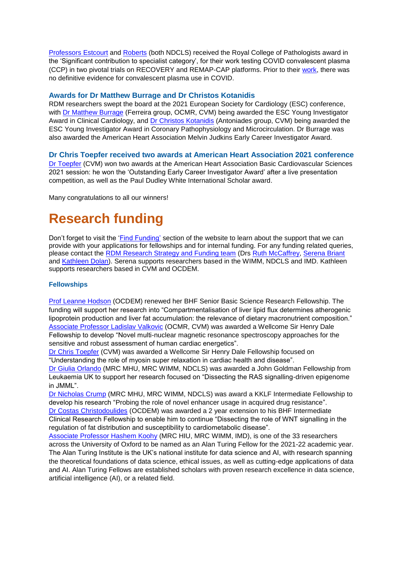[Professors](https://www.rdm.ox.ac.uk/people/lise-estcourt) Estcourt and [Roberts](https://www.rdm.ox.ac.uk/people/david-roberts) (both NDCLS) received the Royal College of Pathologists award in the 'Significant contribution to specialist category', for their work testing COVID convalescent plasma (CCP) in two pivotal trials on RECOVERY and REMAP-CAP platforms. Prior to their [work,](https://www.rdm.ox.ac.uk/news/no-benefit-of-convalescent-plasma-for-critically-ill-covid-19-patients) there was no definitive evidence for convalescent plasma use in COVID.

## **Awards for Dr Matthew Burrage and Dr Christos Kotanidis**

RDM researchers swept the board at the 2021 European Society for Cardiology (ESC) conference, with [Dr Matthew Burrage](https://www.rdm.ox.ac.uk/people/matthew-burrage) (Ferreira group, OCMR, CVM) being awarded the ESC Young Investigator Award in Clinical Cardiology, and [Dr Christos Kotanidis](https://www.rdm.ox.ac.uk/people/christos-kotanidis) (Antoniades group, CVM) being awarded the ESC Young Investigator Award in Coronary Pathophysiology and Microcirculation. Dr Burrage was also awarded the American Heart Association Melvin Judkins Early Career Investigator Award.

## **Dr Chris Toepfer received two awards at American Heart Association 2021 conference**

[Dr Toepfer](https://www.rdm.ox.ac.uk/people/christopher-toepfer) (CVM) won two awards at the American Heart Association Basic Cardiovascular Sciences 2021 session: he won the 'Outstanding Early Career Investigator Award' after a live presentation competition, as well as the Paul Dudley White International Scholar award.

Many congratulations to all our winners!

# **Research funding**

Don't forget to visit the ['Find Funding'](https://www.rdm.ox.ac.uk/intranet/finance-grants-and-funding/find-funding/rdm-funding-bulletin) section of the website to learn about the support that we can provide with your applications for fellowships and for internal funding. For any funding related queries, please contact the [RDM Research Strategy and Funding team](mailto:funding@rdm.ox.ac.uk) (Drs [Ruth McCaffrey,](mailto:ruth.mccaffrey@rdm.ox.ac.uk) [Serena Briant](mailto:serena.briant@rdm.ox.ac.uk) and [Kathleen Dolan\)](mailto:kathleen.dolan@rdm.ox.ac.uk). Serena supports researchers based in the WIMM, NDCLS and IMD. Kathleen supports researchers based in CVM and OCDEM.

## **Fellowships**

[Prof Leanne Hodson](https://www.rdm.ox.ac.uk/people/leanne-hodson) (OCDEM) renewed her BHF Senior Basic Science Research Fellowship. The funding will support her research into "Compartmentalisation of liver lipid flux determines atherogenic lipoprotein production and liver fat accumulation: the relevance of dietary macronutrient composition." [Associate Professor Ladislav Valkovic](https://www.rdm.ox.ac.uk/people/ladislav-valkovic) (OCMR, CVM) was awarded a Wellcome Sir Henry Dale Fellowship to develop "Novel multi-nuclear magnetic resonance spectroscopy approaches for the sensitive and robust assessment of human cardiac energetics".

[Dr Chris Toepfer](https://www.rdm.ox.ac.uk/people/christopher-toepfer) (CVM) was awarded a Wellcome Sir Henry Dale Fellowship focused on "Understanding the role of myosin super relaxation in cardiac health and disease".

[Dr Giulia Orlando](https://www.rdm.ox.ac.uk/people/giulia-orlando) (MRC MHU, MRC WIMM, NDCLS) was awarded a John Goldman Fellowship from Leukaemia UK to support her research focused on "Dissecting the RAS signalling-driven epigenome in JMML".

[Dr Nicholas Crump](https://www.rdm.ox.ac.uk/people/nicholas-crump) (MRC MHU, MRC WIMM, NDCLS) was award a KKLF Intermediate Fellowship to develop his research "Probing the role of novel enhancer usage in acquired drug resistance". [Dr Costas Christodoulides](https://www.rdm.ox.ac.uk/people/constantinos-christodoulides) (OCDEM) was awarded a 2 year extension to his BHF Intermediate Clinical Research Fellowship to enable him to continue "Dissecting the role of WNT signalling in the regulation of fat distribution and susceptibility to cardiometabolic disease".

[Associate Professor Hashem Koohy](https://www.rdm.ox.ac.uk/people/hashem-koohy) (MRC HIU, MRC WIMM, IMD), is one of the 33 researchers across the University of Oxford to be named as an Alan Turing Fellow for the 2021-22 academic year. The Alan Turing Institute is the UK's national institute for data science and AI, with research spanning the theoretical foundations of data science, ethical issues, as well as cutting-edge applications of data and AI. Alan Turing Fellows are established scholars with proven research excellence in data science, artificial intelligence (AI), or a related field.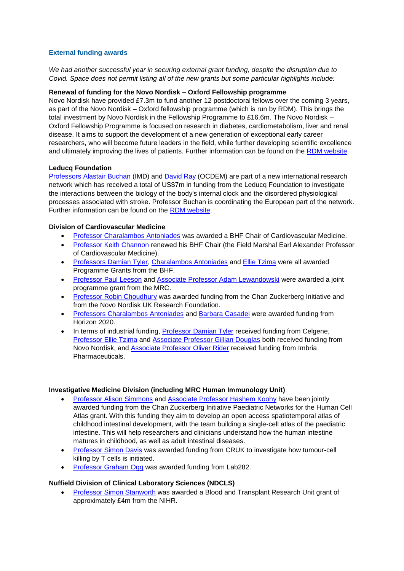## **External funding awards**

*We had another successful year in securing external grant funding, despite the disruption due to Covid. Space does not permit listing all of the new grants but some particular highlights include:*

## **Renewal of funding for the Novo Nordisk – Oxford Fellowship programme**

Novo Nordisk have provided £7.3m to fund another 12 postdoctoral fellows over the coming 3 years, as part of the Novo Nordisk – Oxford fellowship programme (which is run by RDM). This brings the total investment by Novo Nordisk in the Fellowship Programme to £16.6m. The Novo Nordisk – Oxford Fellowship Programme is focused on research in diabetes, cardiometabolism, liver and renal disease. It aims to support the development of a new generation of exceptional early career researchers, who will become future leaders in the field, while further developing scientific excellence and ultimately improving the lives of patients. Further information can be found on the [RDM website.](http://www.rdm.ox.ac.uk/novo-nordisk-fellowships)

## **Leducq Foundation**

Professors [Alastair Buchan](https://www.rdm.ox.ac.uk/people/alastair-buchan-1) (IMD) and [David Ray](https://www.rdm.ox.ac.uk/people/david-ray) (OCDEM) are part of a new international research network which has received a total of US\$7m in funding from the Leducq Foundation to investigate the interactions between the biology of the body's internal clock and the disordered physiological processes associated with stroke. Professor Buchan is coordinating the European part of the network. Further information can be found on the [RDM website.](https://www.rdm.ox.ac.uk/news/major-research-network-to-investigate-body-clock-and-stroke)

## **Division of Cardiovascular Medicine**

- [Professor Charalambos Antoniades](https://www.rdm.ox.ac.uk/people/charalambos-antoniades) was awarded a BHF Chair of Cardiovascular Medicine.
- [Professor Keith Channon](https://www.rdm.ox.ac.uk/people/keith-channon) renewed his BHF Chair (the Field Marshal Earl Alexander Professor of Cardiovascular Medicine).
- [Professors Damian Tyler,](https://www.rdm.ox.ac.uk/people/damian-tyler) [Charalambos Antoniades](https://www.rdm.ox.ac.uk/people/charalambos-antoniades) and [Ellie Tzima](https://www.rdm.ox.ac.uk/people/ellie-tzima) were all awarded Programme Grants from the BHF.
- [Professor Paul Leeson](https://www.rdm.ox.ac.uk/people/paul-leeson) and [Associate Professor Adam Lewandowski](https://www.rdm.ox.ac.uk/people/adam-lewandowski) were awarded a joint programme grant from the MRC.
- [Professor Robin Choudhury](https://www.rdm.ox.ac.uk/people/robin-choudhury) was awarded funding from the Chan Zuckerberg Initiative and from the Novo Nordisk UK Research Foundation.
- [Professors Charalambos Antoniades](https://www.rdm.ox.ac.uk/people/charalambos-antoniades) and [Barbara Casadei](https://www.rdm.ox.ac.uk/people/barbara-casadei) were awarded funding from Horizon 2020.
- In terms of industrial funding, [Professor Damian Tyler](https://www.rdm.ox.ac.uk/people/damian-tyler) received funding from Celgene, [Professor Ellie Tzima](https://www.rdm.ox.ac.uk/people/ellie-tzima) and [Associate Professor Gillian Douglas](https://www.rdm.ox.ac.uk/people/gillian-douglas) both received funding from Novo Nordisk, and [Associate Professor Oliver Rider](https://www.rdm.ox.ac.uk/people/oliver-rider) received funding from Imbria Pharmaceuticals.

## **Investigative Medicine Division (including MRC Human Immunology Unit)**

- Professor [Alison Simmons](https://www.rdm.ox.ac.uk/people/alison-simmons) and [Associate Professor Hashem Koohy](https://www.rdm.ox.ac.uk/people/hashem-koohy) have been jointly awarded funding from the Chan Zuckerberg Initiative Paediatric Networks for the Human Cell Atlas grant. With this funding they aim to develop an open access spatiotemporal atlas of childhood intestinal development, with the team building a single-cell atlas of the paediatric intestine. This will help researchers and clinicians understand how the human intestine matures in childhood, as well as adult intestinal diseases.
- [Professor Simon Davis](https://www.rdm.ox.ac.uk/people/simon-davis) was awarded funding from CRUK to investigate how tumour-cell killing by T cells is initiated.
- [Professor Graham Ogg](https://www.rdm.ox.ac.uk/people/graham-ogg) was awarded funding from Lab282.

### **Nuffield Division of Clinical Laboratory Sciences (NDCLS)**

 [Professor Simon Stanworth](https://www.rdm.ox.ac.uk/people/simon-stanworth) was awarded a Blood and Transplant Research Unit grant of approximately £4m from the NIHR.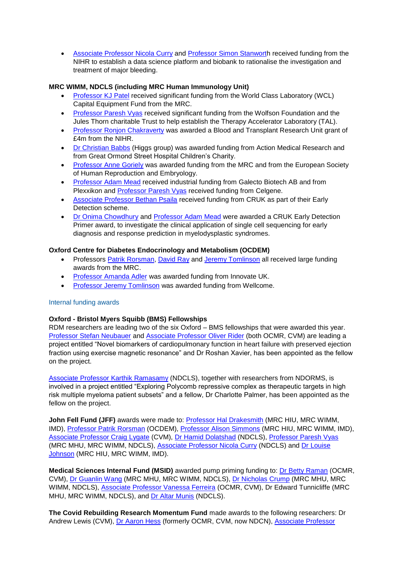[Associate Professor Nicola Curry](https://www.rdm.ox.ac.uk/people/nicola-curry) and [Professor Simon Stanworth](https://www.rdm.ox.ac.uk/people/simon-stanworth) received funding from the NIHR to establish a data science platform and biobank to rationalise the investigation and treatment of major bleeding.

## **MRC WIMM, NDCLS (including MRC Human Immunology Unit)**

- [Professor KJ Patel](https://www.rdm.ox.ac.uk/people/kj-patel) received significant funding from the World Class Laboratory (WCL) Capital Equipment Fund from the MRC.
- [Professor Paresh Vyas](https://www.rdm.ox.ac.uk/people/paresh-vyas) received significant funding from the Wolfson Foundation and the Jules Thorn charitable Trust to help establish the Therapy Accelerator Laboratory (TAL).
- [Professor Ronjon Chakraverty](https://www.rdm.ox.ac.uk/people/ronjon-chakraverty) was awarded a Blood and Transplant Research Unit grant of £4m from the NIHR.
- [Dr Christian Babbs](https://www.rdm.ox.ac.uk/people/christian-babbs) (Higgs group) was awarded funding from Action Medical Research and from Great Ormond Street Hospital Children's Charity.
- [Professor Anne Goriely](https://www.rdm.ox.ac.uk/people/anne-goriely) was awarded funding from the MRC and from the European Society of Human Reproduction and Embryology.
- [Professor Adam Mead](https://www.rdm.ox.ac.uk/people/adam-mead) received industrial funding from Galecto Biotech AB and from Plexxikon and [Professor Paresh Vyas](https://www.rdm.ox.ac.uk/people/paresh-vyas) received funding from Celgene.
- [Associate Professor Bethan Psaila](https://www.rdm.ox.ac.uk/people/bethan-psaila) received funding from CRUK as part of their Early Detection scheme.
- [Dr Onima Chowdhury](https://www.rdm.ox.ac.uk/people/onima-chowdhury) and [Professor Adam Mead](https://www.rdm.ox.ac.uk/people/adam-mead) were awarded a CRUK Early Detection Primer award, to investigate the clinical application of single cell sequencing for early diagnosis and response prediction in myelodysplastic syndromes.

## **Oxford Centre for Diabetes Endocrinology and Metabolism (OCDEM)**

- Professors [Patrik Rorsman,](https://www.rdm.ox.ac.uk/people/patrik-rorsman) [David Ray](https://www.rdm.ox.ac.uk/people/david-ray) and [Jeremy Tomlinson](https://www.rdm.ox.ac.uk/people/jeremy-tomlinson) all received large funding awards from the MRC.
- [Professor Amanda Adler](https://www.rdm.ox.ac.uk/people/amanda-adler) was awarded funding from Innovate UK.
- [Professor Jeremy Tomlinson](https://www.rdm.ox.ac.uk/people/jeremy-tomlinson) was awarded funding from Wellcome.

## Internal funding awards

## **Oxford - Bristol Myers Squibb (BMS) Fellowships**

RDM researchers are leading two of the six Oxford – BMS fellowships that were awarded this year. Professor [Stefan Neubauer](https://www.rdm.ox.ac.uk/people/stefan-neubauer) and [Associate Professor](https://www.rdm.ox.ac.uk/people/oliver-rider) Oliver Rider (both OCMR, CVM) are leading a project entitled "Novel biomarkers of cardiopulmonary function in heart failure with preserved ejection fraction using exercise magnetic resonance" and Dr Roshan Xavier, has been appointed as the fellow on the project.

[Associate Professor Karthik Ramasamy](https://www.rdm.ox.ac.uk/people/karthik-ramasamy) (NDCLS), together with researchers from NDORMS, is involved in a project entitled "Exploring Polycomb repressive complex as therapeutic targets in high risk multiple myeloma patient subsets" and a fellow, Dr Charlotte Palmer, has been appointed as the fellow on the project.

**John Fell Fund (JFF)** awards were made to: [Professor Hal Drakesmith](https://www.rdm.ox.ac.uk/people/alexander-drakesmith) (MRC HIU, MRC WIMM, IMD), [Professor Patrik Rorsman](https://www.rdm.ox.ac.uk/people/patrik-rorsman) (OCDEM), [Professor Alison Simmons](https://www.rdm.ox.ac.uk/people/alison-simmons) (MRC HIU, MRC WIMM, IMD), [Associate Professor Craig Lygate](https://www.rdm.ox.ac.uk/people/craig-lygate) (CVM), [Dr Hamid Dolatshad](https://www.rdm.ox.ac.uk/people/hamid-dolatshad) (NDCLS), [Professor Paresh Vyas](https://www.rdm.ox.ac.uk/people/paresh-vyas) (MRC MHU, MRC WIMM, NDCLS), [Associate Professor Nicola Curry](https://www.rdm.ox.ac.uk/people/nicola-curry) (NDCLS) and [Dr Louise](https://www.rdm.ox.ac.uk/people/louise-johnson)  [Johnson](https://www.rdm.ox.ac.uk/people/louise-johnson) (MRC HIU, MRC WIMM, IMD).

**Medical Sciences Internal Fund (MSID)** awarded pump priming funding to: [Dr Betty Raman](https://www.rdm.ox.ac.uk/people/betty-raman) (OCMR, CVM), [Dr Guanlin Wang](https://www.rdm.ox.ac.uk/people/guanlin-wang) (MRC MHU, MRC WIMM, NDCLS), [Dr Nicholas Crump](https://www.rdm.ox.ac.uk/people/nicholas-crump) (MRC MHU, MRC WIMM, NDCLS), [Associate Professor Vanessa Ferreira](https://www.rdm.ox.ac.uk/people/vanessa-ferreira) (OCMR, CVM), Dr Edward Tunnicliffe (MRC MHU, MRC WIMM, NDCLS), and [Dr Altar Munis](https://www.rdm.ox.ac.uk/people/altar-munis) (NDCLS).

**The Covid Rebuilding Research Momentum Fund** made awards to the following researchers: Dr Andrew Lewis (CVM), [Dr Aaron Hess](https://www.ndcn.ox.ac.uk/team/aaron-hess) (formerly OCMR, CVM, now NDCN), [Associate Professor](https://www.rdm.ox.ac.uk/people/svetlana-reilly)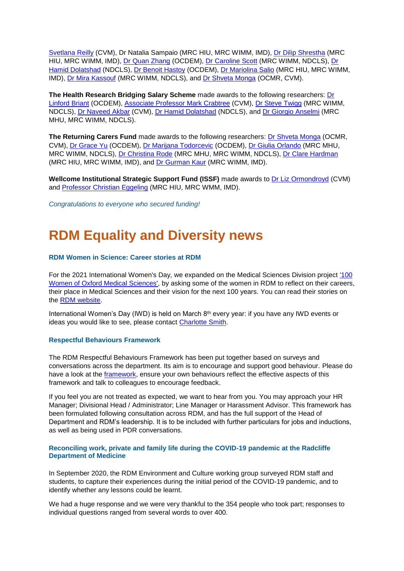[Svetlana Reilly](https://www.rdm.ox.ac.uk/people/svetlana-reilly) (CVM), Dr Natalia Sampaio (MRC HIU, MRC WIMM, IMD), [Dr Dilip Shrestha](https://www.rdm.ox.ac.uk/people/dilip-shrestha) (MRC HIU, MRC WIMM, IMD), [Dr Quan Zhang](https://www.rdm.ox.ac.uk/people/quan-zhang) (OCDEM), [Dr Caroline Scott](https://www.rdm.ox.ac.uk/people/caroline-scott) (MRC WIMM, NDCLS), [Dr](https://www.rdm.ox.ac.uk/people/hamid-dolatshad)  [Hamid Dolatshad](https://www.rdm.ox.ac.uk/people/hamid-dolatshad) (NDCLS), [Dr Benoit Hastoy](https://www.rdm.ox.ac.uk/people/benoit-hastoy) (OCDEM), [Dr Mariolina Salio](https://www.rdm.ox.ac.uk/people/mariolina-salio) (MRC HIU, MRC WIMM, IMD), [Dr Mira Kassouf](https://www.rdm.ox.ac.uk/people/mira-kassouf) (MRC WIMM, NDCLS), and [Dr Shveta Monga](https://www.rdm.ox.ac.uk/people/shveta-monga) (OCMR, CVM).

**The Health Research Bridging Salary Scheme** made awards to the following researchers: [Dr](https://www.rdm.ox.ac.uk/people/linford-briant)  [Linford Briant](https://www.rdm.ox.ac.uk/people/linford-briant) (OCDEM), [Associate Professor Mark Crabtree](https://www.rdm.ox.ac.uk/people/mark-crabtree) (CVM), [Dr Steve Twigg](https://www.rdm.ox.ac.uk/people/stephen-twigg) (MRC WIMM, NDCLS), [Dr Naveed Akbar](https://www.rdm.ox.ac.uk/people/naveed-akbar) (CVM), [Dr Hamid Dolatshad](https://www.rdm.ox.ac.uk/people/hamid-dolatshad) (NDCLS), and [Dr Giorgio Anselmi](https://www.rdm.ox.ac.uk/people/giorgio-anselmi-1) (MRC MHU, MRC WIMM, NDCLS).

**The Returning Carers Fund** made awards to the following researchers: [Dr Shveta Monga](https://www.rdm.ox.ac.uk/people/shveta-monga) (OCMR, CVM), [Dr Grace Yu](https://www.rdm.ox.ac.uk/people/zhuo-yu) (OCDEM), [Dr Marijana Todorcevic](https://www.rdm.ox.ac.uk/people/marijana-todorcevic) (OCDEM), [Dr Giulia Orlando](https://www.rdm.ox.ac.uk/people/giulia-orlando) (MRC MHU, MRC WIMM, NDCLS), [Dr Christina Rode](https://www.rdm.ox.ac.uk/people/christina-rode) (MRC MHU, MRC WIMM, NDCLS), [Dr Clare Hardman](https://www.rdm.ox.ac.uk/people/clare-hardman) (MRC HIU, MRC WIMM, IMD), and [Dr Gurman Kaur](https://www.rdm.ox.ac.uk/people/gurman-kaur) (MRC WIMM, IMD).

**Wellcome Institutional Strategic Support Fund (ISSF)** made awards to [Dr Liz Ormondroyd](https://www.rdm.ox.ac.uk/people/elizabeth-ormondroyd) (CVM) and Professor [Christian Eggeling](https://www.rdm.ox.ac.uk/people/christian-eggeling) (MRC HIU, MRC WMM, IMD).

*Congratulations to everyone who secured funding!*

# **RDM Equality and Diversity news**

## **RDM Women in Science: Career stories at RDM**

For the 2021 International Women's Day, we expanded on the Medical Sciences Division project '100 [Women of Oxford Medical Sciences',](https://www.medsci.ox.ac.uk/100-women-of-oxford-medical-sciences) by asking some of the women in RDM to reflect on their careers, their place in Medical Sciences and their vision for the next 100 years. You can read their stories on the [RDM website.](https://www.rdm.ox.ac.uk/intranet/athena-swan/career-stories/meet-the-women-of-rdm)

International Women's Day (IWD) is held on March  $8<sup>th</sup>$  every year: if you have any IWD events or ideas you would like to see, please contact [Charlotte Smith.](mailto:charlotte.smith@rdm.ox.ac.uk)

### **Respectful Behaviours Framework**

The RDM Respectful Behaviours Framework has been put together based on surveys and conversations across the department. Its aim is to encourage and support good behaviour. Please do have a look at the [framework,](http://bulletin.rdm.ox.ac.uk/c/12eEFU5QbXRqC6dHchIilX4Rb) ensure your own behaviours reflect the effective aspects of this framework and talk to colleagues to encourage feedback.

If you feel you are not treated as expected, we want to hear from you. You may approach your HR Manager; Divisional Head / Administrator; Line Manager or Harassment Advisor. This framework has been formulated following consultation across RDM, and has the full support of the Head of Department and RDM's leadership. It is to be included with further particulars for jobs and inductions, as well as being used in PDR conversations.

## **Reconciling work, private and family life during the COVID-19 pandemic at the Radcliffe Department of Medicine**

In September 2020, the RDM Environment and Culture working group surveyed RDM staff and students, to capture their experiences during the initial period of the COVID-19 pandemic, and to identify whether any lessons could be learnt.

We had a huge response and we were very thankful to the 354 people who took part; responses to individual questions ranged from several words to over 400.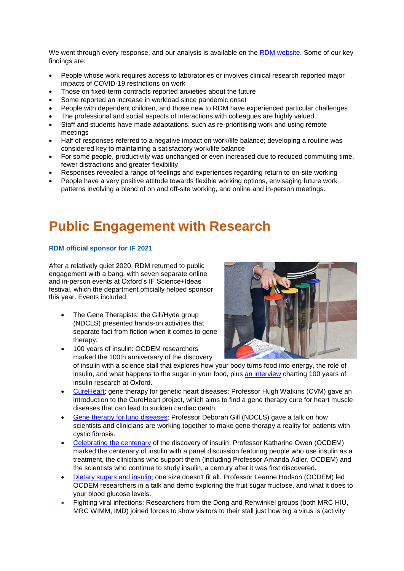We went through every response, and our analysis is available on the [RDM website.](https://www.rdm.ox.ac.uk/news/survey-results-reconciling-work-private-and-family-life-during-the-covid-19-pandemic-at-the-radcliffe-department-of-medicine) Some of our key findings are:

- People whose work requires access to laboratories or involves clinical research reported major impacts of COVID-19 restrictions on work
- Those on fixed-term contracts reported anxieties about the future
- Some reported an increase in workload since pandemic onset
- People with dependent children, and those new to RDM have experienced particular challenges
- The professional and social aspects of interactions with colleagues are highly valued
- Staff and students have made adaptations, such as re-prioritising work and using remote meetings
- Half of responses referred to a negative impact on work/life balance; developing a routine was considered key to maintaining a satisfactory work/life balance
- For some people, productivity was unchanged or even increased due to reduced commuting time, fewer distractions and greater flexibility
- Responses revealed a range of feelings and experiences regarding return to on-site working
- People have a very positive attitude towards flexible working options, envisaging future work patterns involving a blend of on and off-site working, and online and in-person meetings.

# **Public Engagement with Research**

## **RDM official sponsor for IF 2021**

After a relatively quiet 2020, RDM returned to public engagement with a bang, with seven separate online and in-person events at Oxford's IF Science+Ideas festival, which the department officially helped sponsor this year. Events included:

• The Gene Therapists: the Gill/Hyde group (NDCLS) presented hands-on activities that separate fact from fiction when it comes to gene therapy.

100 years of insulin: OCDEM researchers



marked the 100th anniversary of the discovery of insulin with a science stall that explores how your body turns food into energy, the role of insulin, and what happens to the sugar in your food, plus [an interview](https://www.ox.ac.uk/news/features/world-diabetes-day-2021-100-years-insulin) charting 100 years of insulin research at Oxford.

- [CureHeart: gene therapy for genetic heart diseases:](https://if-oxford.com/event/cureheart-gene-therapy-for-genetic-heart-diseases/) Professor Hugh Watkins (CVM) gave an introduction to the CureHeart project, which aims to find a gene therapy cure for heart muscle diseases that can lead to sudden cardiac death.
- [Gene therapy for lung diseases:](https://if-oxford.com/event/gene-therapy-for-lung-diseases/) Professor Deborah Gill (NDCLS) gave a talk on how scientists and clinicians are working together to make gene therapy a reality for patients with cystic fibrosis.
- Celebrating the centenary [of the discovery of insulin:](https://if-oxford.com/event/celebrating-the-centenary-of-the-discovery-of-insulin/) Professor Katharine Owen (OCDEM) marked the centenary of insulin with a panel discussion featuring people who use insulin as a treatment, the clinicians who support them (including Professor Amanda Adler, OCDEM) and the scientists who continue to study insulin, a century after it was first discovered.
- [Dietary sugars and insulin; one size doesn't fit all.](https://if-oxford.com/event/dietary-sugars-and-insulin-one-size-doesnt-fit-all/) Professor Leanne Hodson (OCDEM) led OCDEM researchers in a talk and demo exploring the fruit sugar fructose, and what it does to your blood glucose levels.
- Fighting viral infections: Researchers from the Dong and Rehwinkel groups (both MRC HIU, MRC WIMM, IMD) joined forces to show visitors to their stall just how big a virus is (activity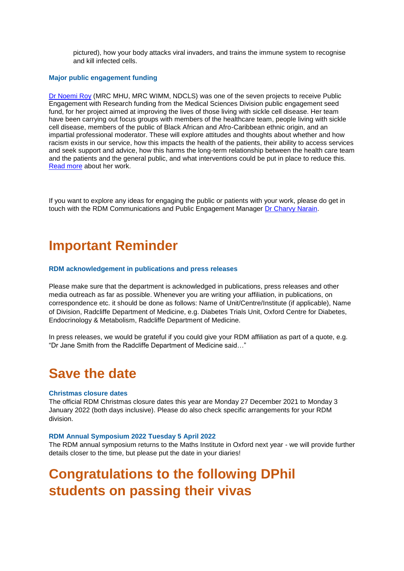pictured), how your body attacks viral invaders, and trains the immune system to recognise and kill infected cells.

#### **Major public engagement funding**

[Dr Noemi Roy](https://www.rdm.ox.ac.uk/people/noemi-roy) (MRC MHU, MRC WIMM, NDCLS) was one of the seven projects to receive Public Engagement with Research funding from the Medical Sciences Division public engagement seed fund, for her project aimed at improving the lives of those living with sickle cell disease. Her team have been carrying out focus groups with members of the healthcare team, people living with sickle cell disease, members of the public of Black African and Afro-Caribbean ethnic origin, and an impartial professional moderator. These will explore attitudes and thoughts about whether and how racism exists in our service, how this impacts the health of the patients, their ability to access services and seek support and advice, how this harms the long-term relationship between the health care team and the patients and the general public, and what interventions could be put in place to reduce this. [Read more](https://www.rdm.ox.ac.uk/news/msd-projects-awarded-public-engagement-seed-funding-2020-21) about her work.

If you want to explore any ideas for engaging the public or patients with your work, please do get in touch with the RDM Communications and Public Engagement Manager [Dr Charvy Narain.](mailto:charvy.narain@rdm.ox.ac.uk)

## **Important Reminder**

#### **RDM acknowledgement in publications and press releases**

Please make sure that the department is acknowledged in publications, press releases and other media outreach as far as possible. Whenever you are writing your affiliation, in publications, on correspondence etc. it should be done as follows: Name of Unit/Centre/Institute (if applicable), Name of Division, Radcliffe Department of Medicine, e.g. Diabetes Trials Unit, Oxford Centre for Diabetes, Endocrinology & Metabolism, Radcliffe Department of Medicine.

In press releases, we would be grateful if you could give your RDM affiliation as part of a quote, e.g. "Dr Jane Smith from the Radcliffe Department of Medicine said…"

## **Save the date**

#### **Christmas closure dates**

The official RDM Christmas closure dates this year are Monday 27 December 2021 to Monday 3 January 2022 (both days inclusive). Please do also check specific arrangements for your RDM division.

#### **RDM Annual Symposium 2022 Tuesday 5 April 2022**

The RDM annual symposium returns to the Maths Institute in Oxford next year - we will provide further details closer to the time, but please put the date in your diaries!

# **Congratulations to the following DPhil students on passing their vivas**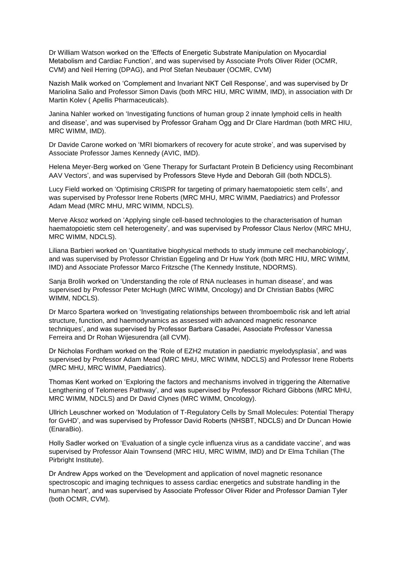Dr William Watson worked on the 'Effects of Energetic Substrate Manipulation on Myocardial Metabolism and Cardiac Function', and was supervised by Associate Profs Oliver Rider (OCMR, CVM) and Neil Herring (DPAG), and Prof Stefan Neubauer (OCMR, CVM)

Nazish Malik worked on 'Complement and Invariant NKT Cell Response', and was supervised by Dr Mariolina Salio and Professor Simon Davis (both MRC HIU, MRC WIMM, IMD), in association with Dr Martin Kolev ( Apellis Pharmaceuticals).

Janina Nahler worked on 'Investigating functions of human group 2 innate lymphoid cells in health and disease', and was supervised by Professor Graham Ogg and Dr Clare Hardman (both MRC HIU, MRC WIMM, IMD).

Dr Davide Carone worked on 'MRI biomarkers of recovery for acute stroke', and was supervised by Associate Professor James Kennedy (AVIC, IMD).

Helena Meyer-Berg worked on 'Gene Therapy for Surfactant Protein B Deficiency using Recombinant AAV Vectors', and was supervised by Professors Steve Hyde and Deborah Gill (both NDCLS).

Lucy Field worked on 'Optimising CRISPR for targeting of primary haematopoietic stem cells', and was supervised by Professor Irene Roberts (MRC MHU, MRC WIMM, Paediatrics) and Professor Adam Mead (MRC MHU, MRC WIMM, NDCLS).

Merve Aksoz worked on 'Applying single cell-based technologies to the characterisation of human haematopoietic stem cell heterogeneity', and was supervised by Professor Claus Nerlov (MRC MHU, MRC WIMM, NDCLS).

Liliana Barbieri worked on 'Quantitative biophysical methods to study immune cell mechanobiology', and was supervised by Professor Christian Eggeling and Dr Huw York (both MRC HIU, MRC WIMM, IMD) and Associate Professor Marco Fritzsche (The Kennedy Institute, NDORMS).

Sanja Brolih worked on 'Understanding the role of RNA nucleases in human disease', and was supervised by Professor Peter McHugh (MRC WIMM, Oncology) and Dr Christian Babbs (MRC WIMM, NDCLS).

Dr Marco Spartera worked on 'Investigating relationships between thromboembolic risk and left atrial structure, function, and haemodynamics as assessed with advanced magnetic resonance techniques', and was supervised by Professor Barbara Casadei, Associate Professor Vanessa Ferreira and Dr Rohan Wijesurendra (all CVM).

Dr Nicholas Fordham worked on the 'Role of EZH2 mutation in paediatric myelodysplasia', and was supervised by Professor Adam Mead (MRC MHU, MRC WIMM, NDCLS) and Professor Irene Roberts (MRC MHU, MRC WIMM, Paediatrics).

Thomas Kent worked on 'Exploring the factors and mechanisms involved in triggering the Alternative Lengthening of Telomeres Pathway', and was supervised by Professor Richard Gibbons (MRC MHU, MRC WIMM, NDCLS) and Dr David Clynes (MRC WIMM, Oncology).

Ullrich Leuschner worked on 'Modulation of T-Regulatory Cells by Small Molecules: Potential Therapy for GvHD', and was supervised by Professor David Roberts (NHSBT, NDCLS) and Dr Duncan Howie (EnaraBio).

Holly Sadler worked on 'Evaluation of a single cycle influenza virus as a candidate vaccine', and was supervised by Professor Alain Townsend (MRC HIU, MRC WIMM, IMD) and Dr Elma Tchilian (The Pirbright Institute).

Dr Andrew Apps worked on the 'Development and application of novel magnetic resonance spectroscopic and imaging techniques to assess cardiac energetics and substrate handling in the human heart', and was supervised by Associate Professor Oliver Rider and Professor Damian Tyler (both OCMR, CVM).